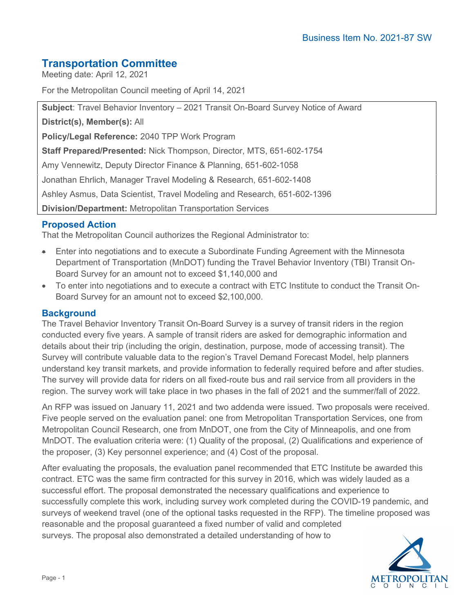# **Transportation Committee**

Meeting date: April 12, 2021

For the Metropolitan Council meeting of April 14, 2021

**Subject**: Travel Behavior Inventory – 2021 Transit On-Board Survey Notice of Award

**District(s), Member(s):** All

**Policy/Legal Reference:** 2040 TPP Work Program

**Staff Prepared/Presented:** Nick Thompson, Director, MTS, 651-602-1754

Amy Vennewitz, Deputy Director Finance & Planning, 651-602-1058

Jonathan Ehrlich, Manager Travel Modeling & Research, 651-602-1408

Ashley Asmus, Data Scientist, Travel Modeling and Research, 651-602-1396

**Division/Department:** Metropolitan Transportation Services

## **Proposed Action**

That the Metropolitan Council authorizes the Regional Administrator to:

- Enter into negotiations and to execute a Subordinate Funding Agreement with the Minnesota Department of Transportation (MnDOT) funding the Travel Behavior Inventory (TBI) Transit On-Board Survey for an amount not to exceed \$1,140,000 and
- To enter into negotiations and to execute a contract with ETC Institute to conduct the Transit On-Board Survey for an amount not to exceed \$2,100,000.

## **Background**

The Travel Behavior Inventory Transit On-Board Survey is a survey of transit riders in the region conducted every five years. A sample of transit riders are asked for demographic information and details about their trip (including the origin, destination, purpose, mode of accessing transit). The Survey will contribute valuable data to the region's Travel Demand Forecast Model, help planners understand key transit markets, and provide information to federally required before and after studies. The survey will provide data for riders on all fixed-route bus and rail service from all providers in the region. The survey work will take place in two phases in the fall of 2021 and the summer/fall of 2022.

An RFP was issued on January 11, 2021 and two addenda were issued. Two proposals were received. Five people served on the evaluation panel: one from Metropolitan Transportation Services, one from Metropolitan Council Research, one from MnDOT, one from the City of Minneapolis, and one from MnDOT. The evaluation criteria were: (1) Quality of the proposal, (2) Qualifications and experience of the proposer, (3) Key personnel experience; and (4) Cost of the proposal.

After evaluating the proposals, the evaluation panel recommended that ETC Institute be awarded this contract. ETC was the same firm contracted for this survey in 2016, which was widely lauded as a successful effort. The proposal demonstrated the necessary qualifications and experience to successfully complete this work, including survey work completed during the COVID-19 pandemic, and surveys of weekend travel (one of the optional tasks requested in the RFP). The timeline proposed was reasonable and the proposal guaranteed a fixed number of valid and completed surveys. The proposal also demonstrated a detailed understanding of how to

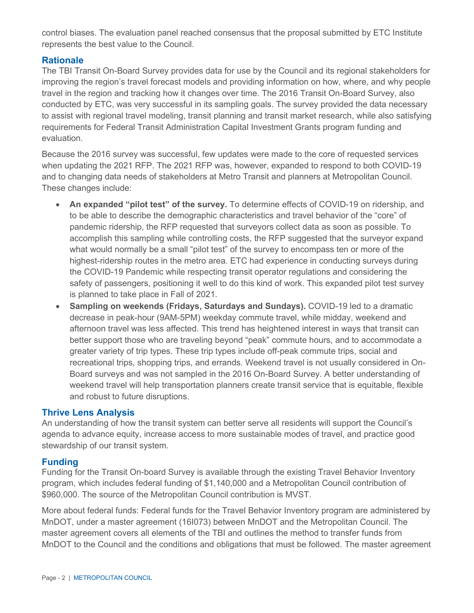control biases. The evaluation panel reached consensus that the proposal submitted by ETC Institute represents the best value to the Council.

### **Rationale**

The TBI Transit On-Board Survey provides data for use by the Council and its regional stakeholders for improving the region's travel forecast models and providing information on how, where, and why people travel in the region and tracking how it changes over time. The 2016 Transit On-Board Survey, also conducted by ETC, was very successful in its sampling goals. The survey provided the data necessary to assist with regional travel modeling, transit planning and transit market research, while also satisfying requirements for Federal Transit Administration Capital Investment Grants program funding and evaluation.

Because the 2016 survey was successful, few updates were made to the core of requested services when updating the 2021 RFP. The 2021 RFP was, however, expanded to respond to both COVID-19 and to changing data needs of stakeholders at Metro Transit and planners at Metropolitan Council. These changes include:

- **An expanded "pilot test" of the survey.** To determine effects of COVID-19 on ridership, and to be able to describe the demographic characteristics and travel behavior of the "core" of pandemic ridership, the RFP requested that surveyors collect data as soon as possible. To accomplish this sampling while controlling costs, the RFP suggested that the surveyor expand what would normally be a small "pilot test" of the survey to encompass ten or more of the highest-ridership routes in the metro area. ETC had experience in conducting surveys during the COVID-19 Pandemic while respecting transit operator regulations and considering the safety of passengers, positioning it well to do this kind of work. This expanded pilot test survey is planned to take place in Fall of 2021.
- **Sampling on weekends (Fridays, Saturdays and Sundays).** COVID-19 led to a dramatic decrease in peak-hour (9AM-5PM) weekday commute travel, while midday, weekend and afternoon travel was less affected. This trend has heightened interest in ways that transit can better support those who are traveling beyond "peak" commute hours, and to accommodate a greater variety of trip types. These trip types include off-peak commute trips, social and recreational trips, shopping trips, and errands. Weekend travel is not usually considered in On-Board surveys and was not sampled in the 2016 On-Board Survey. A better understanding of weekend travel will help transportation planners create transit service that is equitable, flexible and robust to future disruptions.

#### **Thrive Lens Analysis**

An understanding of how the transit system can better serve all residents will support the Council's agenda to advance equity, increase access to more sustainable modes of travel, and practice good stewardship of our transit system.

#### **Funding**

Funding for the Transit On-board Survey is available through the existing Travel Behavior Inventory program, which includes federal funding of \$1,140,000 and a Metropolitan Council contribution of \$960,000. The source of the Metropolitan Council contribution is MVST.

More about federal funds: Federal funds for the Travel Behavior Inventory program are administered by MnDOT, under a master agreement (16I073) between MnDOT and the Metropolitan Council. The master agreement covers all elements of the TBI and outlines the method to transfer funds from MnDOT to the Council and the conditions and obligations that must be followed. The master agreement